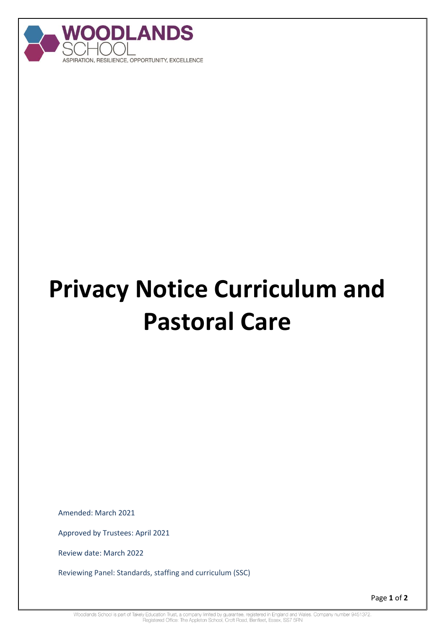

## **Privacy Notice Curriculum and Pastoral Care**

Amended: March 2021

Approved by Trustees: April 2021

Review date: March 2022

Reviewing Panel: Standards, staffing and curriculum (SSC)

Page **1** of **2**